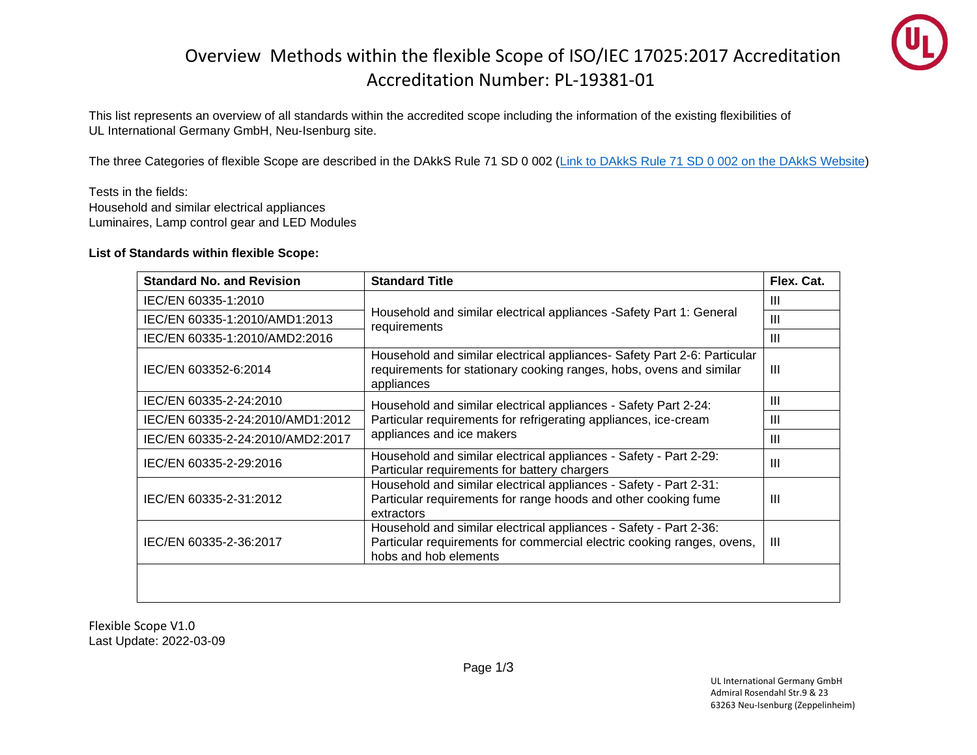## Overview Methods within the flexible Scope of ISO/IEC 17025:2017 Accreditation Accreditation Number: PL-19381-01



This list represents an overview of all standards within the accredited scope including the information of the existing flexibilities of UL International Germany GmbH, Neu-Isenburg site.

The three Categories of flexible Scope are described in the DAkkS Rule 71 SD 0 002 [\(Link to DAkkS Rule 71 SD 0 002 on the DAkkS Website\)](https://www.dakks.de/files/Dokumentensuche/Dateien/71%20SD%200%20002_e_Akkr%20_flex%20_Scope_20150813_v2.2.pdf)

Tests in the fields: Household and similar electrical appliances Luminaires, Lamp control gear and LED Modules

## **List of Standards within flexible Scope:**

| <b>Standard No. and Revision</b> | <b>Standard Title</b>                                                                                                                                                | Flex. Cat.     |
|----------------------------------|----------------------------------------------------------------------------------------------------------------------------------------------------------------------|----------------|
| IEC/EN 60335-1:2010              | Household and similar electrical appliances -Safety Part 1: General<br>requirements                                                                                  | Ш              |
| IEC/EN 60335-1:2010/AMD1:2013    |                                                                                                                                                                      | III            |
| IEC/EN 60335-1:2010/AMD2:2016    |                                                                                                                                                                      | Ш              |
| IEC/EN 603352-6:2014             | Household and similar electrical appliances- Safety Part 2-6: Particular<br>requirements for stationary cooking ranges, hobs, ovens and similar<br>appliances        | Ш              |
| IEC/EN 60335-2-24:2010           | Household and similar electrical appliances - Safety Part 2-24:<br>Particular requirements for refrigerating appliances, ice-cream<br>appliances and ice makers      | Ш              |
| IEC/EN 60335-2-24:2010/AMD1:2012 |                                                                                                                                                                      | Ш              |
| IEC/EN 60335-2-24:2010/AMD2:2017 |                                                                                                                                                                      | Ш              |
| IEC/EN 60335-2-29:2016           | Household and similar electrical appliances - Safety - Part 2-29:<br>Particular requirements for battery chargers                                                    | Ш              |
| IEC/EN 60335-2-31:2012           | Household and similar electrical appliances - Safety - Part 2-31:<br>Particular requirements for range hoods and other cooking fume<br>extractors                    | $\mathbf{III}$ |
| IEC/EN 60335-2-36:2017           | Household and similar electrical appliances - Safety - Part 2-36:<br>Particular requirements for commercial electric cooking ranges, ovens,<br>hobs and hob elements | Ш              |
|                                  |                                                                                                                                                                      |                |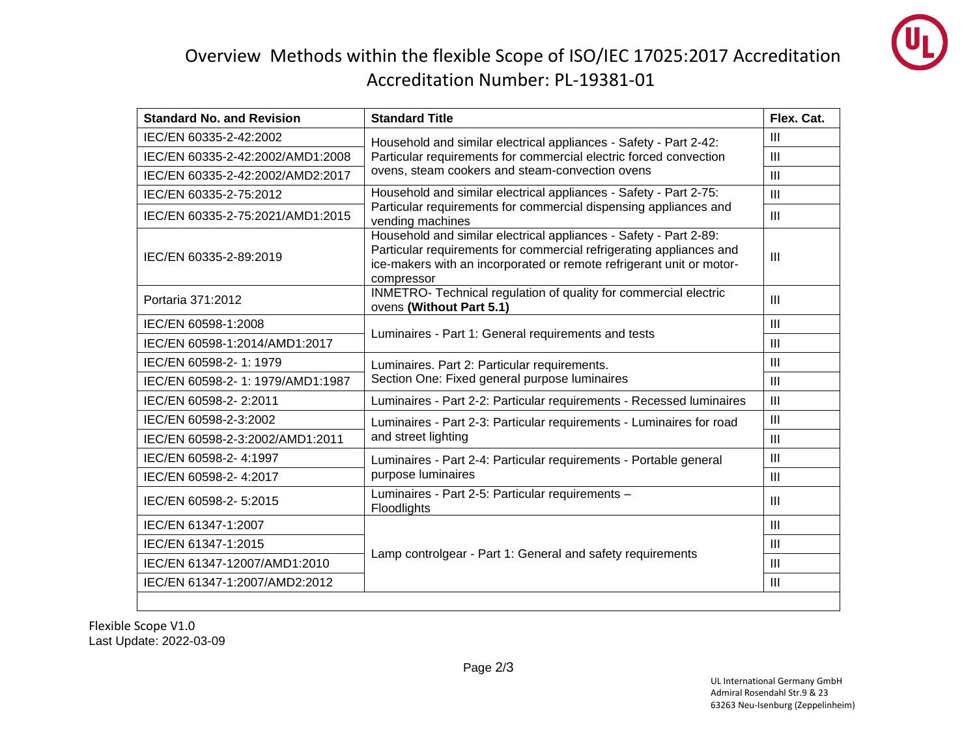

## Overview Methods within the flexible Scope of ISO/IEC 17025:2017 Accreditation Accreditation Number: PL-19381-01

| <b>Standard No. and Revision</b> | <b>Standard Title</b>                                                                                                                                                                                                          | Flex. Cat.     |
|----------------------------------|--------------------------------------------------------------------------------------------------------------------------------------------------------------------------------------------------------------------------------|----------------|
| IEC/EN 60335-2-42:2002           | Household and similar electrical appliances - Safety - Part 2-42:<br>Particular requirements for commercial electric forced convection<br>ovens, steam cookers and steam-convection ovens                                      | $\mathbf{III}$ |
| IEC/EN 60335-2-42:2002/AMD1:2008 |                                                                                                                                                                                                                                | $\mathbf{III}$ |
| IEC/EN 60335-2-42:2002/AMD2:2017 |                                                                                                                                                                                                                                | $\mathbf{III}$ |
| IEC/EN 60335-2-75:2012           | Household and similar electrical appliances - Safety - Part 2-75:<br>Particular requirements for commercial dispensing appliances and<br>vending machines                                                                      | $\mathbf{III}$ |
| IEC/EN 60335-2-75:2021/AMD1:2015 |                                                                                                                                                                                                                                | $\mathbf{III}$ |
| IEC/EN 60335-2-89:2019           | Household and similar electrical appliances - Safety - Part 2-89:<br>Particular requirements for commercial refrigerating appliances and<br>ice-makers with an incorporated or remote refrigerant unit or motor-<br>compressor | $\mathbf{H}$   |
| Portaria 371:2012                | INMETRO- Technical regulation of quality for commercial electric<br>ovens (Without Part 5.1)                                                                                                                                   | $\mathbf{III}$ |
| IEC/EN 60598-1:2008              | Luminaires - Part 1: General requirements and tests                                                                                                                                                                            | III            |
| IEC/EN 60598-1:2014/AMD1:2017    |                                                                                                                                                                                                                                | $\mathbf{III}$ |
| IEC/EN 60598-2-1: 1979           | Luminaires. Part 2: Particular requirements.<br>Section One: Fixed general purpose luminaires                                                                                                                                  | $\mathbf{III}$ |
| IEC/EN 60598-2-1: 1979/AMD1:1987 |                                                                                                                                                                                                                                | $\mathbf{III}$ |
| IEC/EN 60598-2-2:2011            | Luminaires - Part 2-2: Particular requirements - Recessed luminaires                                                                                                                                                           | III            |
| IEC/EN 60598-2-3:2002            | Luminaires - Part 2-3: Particular requirements - Luminaires for road<br>and street lighting                                                                                                                                    | $\mathbf{III}$ |
| IEC/EN 60598-2-3:2002/AMD1:2011  |                                                                                                                                                                                                                                | $\mathbf{III}$ |
| IEC/EN 60598-2-4:1997            | Luminaires - Part 2-4: Particular requirements - Portable general<br>purpose luminaires                                                                                                                                        | III            |
| IEC/EN 60598-2-4:2017            |                                                                                                                                                                                                                                | $\mathbf{III}$ |
| IEC/EN 60598-2-5:2015            | Luminaires - Part 2-5: Particular requirements -<br>Floodlights                                                                                                                                                                | Ш              |
| IEC/EN 61347-1:2007              |                                                                                                                                                                                                                                | $\mathbf{III}$ |
| IEC/EN 61347-1:2015              | Lamp controlgear - Part 1: General and safety requirements                                                                                                                                                                     | $\mathbf{III}$ |
| IEC/EN 61347-12007/AMD1:2010     |                                                                                                                                                                                                                                | $\mathbf{III}$ |
| IEC/EN 61347-1:2007/AMD2:2012    |                                                                                                                                                                                                                                | $\mathbf{III}$ |
|                                  |                                                                                                                                                                                                                                |                |

Flexible Scope V1.0 Last Update: 2022-03-09